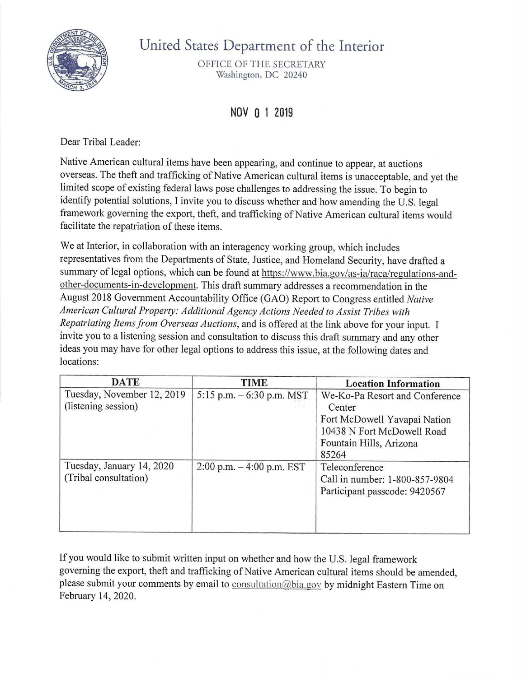

## United States Department of the Interior

OFFICE OF THE SECRETARY Washington, DC 20240

## NOV 0 1 2019

Dear Tribal Leader:

Native American cultural items have been appearing, and continue to appear, at auctions overseas. The theft and trafficking of Native American cultural items is unacceptable, and yet the limited scope of existing federal laws pose challenges to addressing the issue. To begin to identify potential solutions, I invite you to discuss whether and how amending the U.S. legal framework governing the export, theft, and trafficking of Native American cultural items would facilitate the repatriation of these items.

We at Interior, in collaboration with an interagency working group, which includes representatives from the Departments of State, Justice, and Homeland Security, have drafted a summary of legal options, which can be found at https://www.bia.gov/as-ia/raca/regulations-andother-documents-in-development. This draft summary addresses a recommendation in the August 2018 Government Accountability Office (GAO) Report to Congress entitled *Native American Cultural Property: Additional Agency Actions Needed to Assist Tribes with Repatriating Items from Overseas Auctions*, and is offered at the link above for your input. I invite you to a listening session and consultation to discuss this draft summary and any other ideas you may have for other legal options to address this issue, at the following dates and locations:

| <b>DATE</b>                                        | <b>TIME</b>                  | <b>Location Information</b>                                                                                                                |
|----------------------------------------------------|------------------------------|--------------------------------------------------------------------------------------------------------------------------------------------|
| Tuesday, November 12, 2019<br>(listening session)  | 5:15 p.m. $-6:30$ p.m. MST   | We-Ko-Pa Resort and Conference<br>Center<br>Fort McDowell Yavapai Nation<br>10438 N Fort McDowell Road<br>Fountain Hills, Arizona<br>85264 |
| Tuesday, January 14, 2020<br>(Tribal consultation) | $2:00$ p.m. $-4:00$ p.m. EST | Teleconference<br>Call in number: 1-800-857-9804<br>Participant passcode: 9420567                                                          |

If you would like to submit written input on whether and how the U.S. legal framework governing the export, theft and trafficking of Native American cultural items should be amended, please submit your comments by email to consultation(@bia.gov by midnight Eastern Time on February 14, 2020.